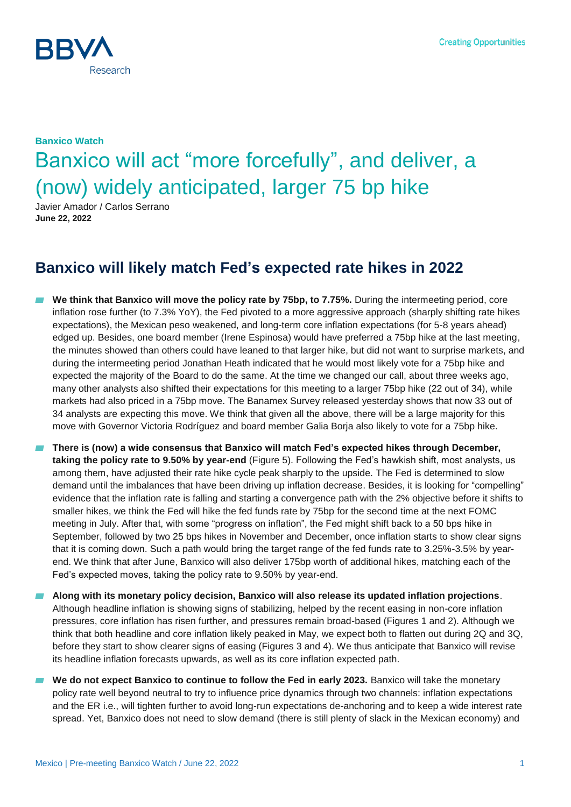

# **Banxico Watch** Banxico will act "more forcefully", and deliver, a (now) widely anticipated, larger 75 bp hike

Javier Amador / Carlos Serrano **June 22, 2022**

## **Banxico will likely match Fed's expected rate hikes in 2022**

- ▰ **We think that Banxico will move the policy rate by 75bp, to 7.75%.** During the intermeeting period, core inflation rose further (to 7.3% YoY), the Fed pivoted to a more aggressive approach (sharply shifting rate hikes expectations), the Mexican peso weakened, and long-term core inflation expectations (for 5-8 years ahead) edged up. Besides, one board member (Irene Espinosa) would have preferred a 75bp hike at the last meeting, the minutes showed than others could have leaned to that larger hike, but did not want to surprise markets, and during the intermeeting period Jonathan Heath indicated that he would most likely vote for a 75bp hike and expected the majority of the Board to do the same. At the time we changed our call, about three weeks ago, many other analysts also shifted their expectations for this meeting to a larger 75bp hike (22 out of 34), while markets had also priced in a 75bp move. The Banamex Survey released yesterday shows that now 33 out of 34 analysts are expecting this move. We think that given all the above, there will be a large majority for this move with Governor Victoria Rodríguez and board member Galia Borja also likely to vote for a 75bp hike.
- ▰ **There is (now) a wide consensus that Banxico will match Fed's expected hikes through December, taking the policy rate to 9.50% by year-end** (Figure 5). Following the Fed's hawkish shift, most analysts, us among them, have adjusted their rate hike cycle peak sharply to the upside. The Fed is determined to slow demand until the imbalances that have been driving up inflation decrease. Besides, it is looking for "compelling" evidence that the inflation rate is falling and starting a convergence path with the 2% objective before it shifts to smaller hikes, we think the Fed will hike the fed funds rate by 75bp for the second time at the next FOMC meeting in July. After that, with some "progress on inflation", the Fed might shift back to a 50 bps hike in September, followed by two 25 bps hikes in November and December, once inflation starts to show clear signs that it is coming down. Such a path would bring the target range of the fed funds rate to 3.25%-3.5% by yearend. We think that after June, Banxico will also deliver 175bp worth of additional hikes, matching each of the Fed's expected moves, taking the policy rate to 9.50% by year-end.
- ▰ **Along with its monetary policy decision, Banxico will also release its updated inflation projections**. Although headline inflation is showing signs of stabilizing, helped by the recent easing in non-core inflation pressures, core inflation has risen further, and pressures remain broad-based (Figures 1 and 2). Although we think that both headline and core inflation likely peaked in May, we expect both to flatten out during 2Q and 3Q, before they start to show clearer signs of easing (Figures 3 and 4). We thus anticipate that Banxico will revise its headline inflation forecasts upwards, as well as its core inflation expected path.
- We do not expect Banxico to continue to follow the Fed in early 2023. Banxico will take the monetary policy rate well beyond neutral to try to influence price dynamics through two channels: inflation expectations and the ER i.e., will tighten further to avoid long-run expectations de-anchoring and to keep a wide interest rate spread. Yet, Banxico does not need to slow demand (there is still plenty of slack in the Mexican economy) and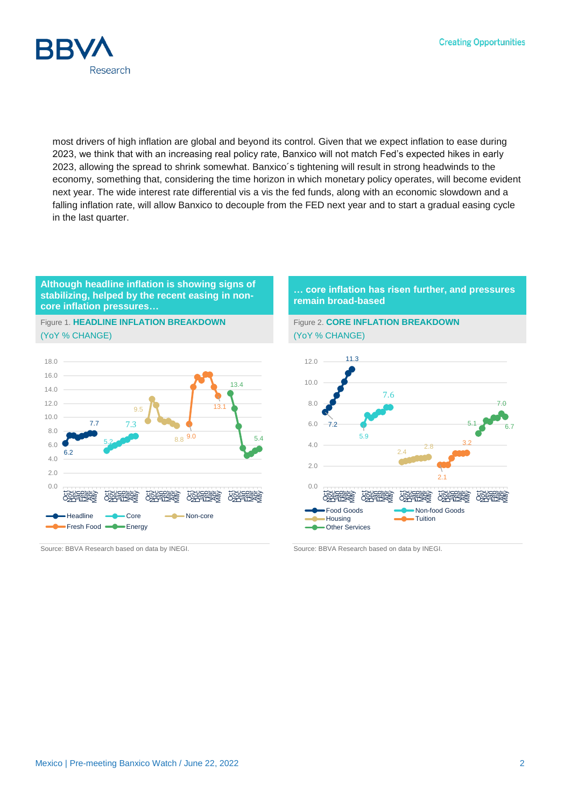**Creating Opportunities** 



most drivers of high inflation are global and beyond its control. Given that we expect inflation to ease during 2023, we think that with an increasing real policy rate, Banxico will not match Fed's expected hikes in early 2023, allowing the spread to shrink somewhat. Banxico´s tightening will result in strong headwinds to the economy, something that, considering the time horizon in which monetary policy operates, will become evident next year. The wide interest rate differential vis a vis the fed funds, along with an economic slowdown and a falling inflation rate, will allow Banxico to decouple from the FED next year and to start a gradual easing cycle in the last quarter.

#### **Although headline inflation is showing signs of stabilizing, helped by the recent easing in noncore inflation pressures…**

Figure 1. **HEADLINE INFLATION BREAKDOWN** (YoY % CHANGE)



Source: BBVA Research based on data by INEGI. Source: BBVA Research based on data by INEGI.

#### **… core inflation has risen further, and pressures remain broad-based**



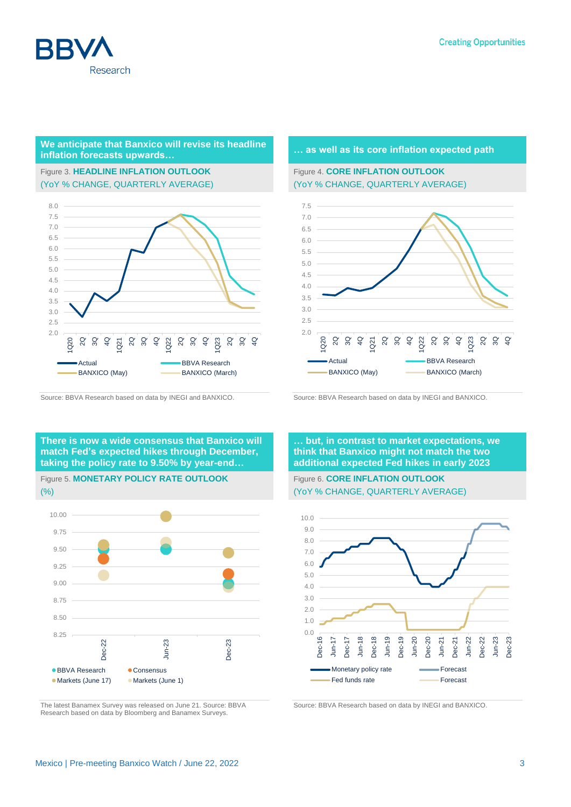

#### **We anticipate that Banxico will revise its headline inflation forecasts upwards… inflation forecasts** upwards…

### Figure 3. **HEADLINE INFLATION OUTLOOK** (YoY % CHANGE, QUARTERLY AVERAGE)



Source: BBVA Research based on data by INEGI and BANXICO. Source: BBVA Research based on data by INEGI and BANXICO.

#### Figure 4. **CORE INFLATION OUTLOOK** (YoY % CHANGE, QUARTERLY AVERAGE)



**There is now a wide consensus that Banxico will match Fed's expected hikes through December, taking the policy rate to 9.50% by year-end…**



(%)



The latest Banamex Survey was released on June 21. Source: BBVA Research based on data by Bloomberg and Banamex Surveys.

**… but, in contrast to market expectations, we think that Banxico might not match the two additional expected Fed hikes in early 2023**

Figure 6. **CORE INFLATION OUTLOOK** (YoY % CHANGE, QUARTERLY AVERAGE)



Source: BBVA Research based on data by INEGI and BANXICO.